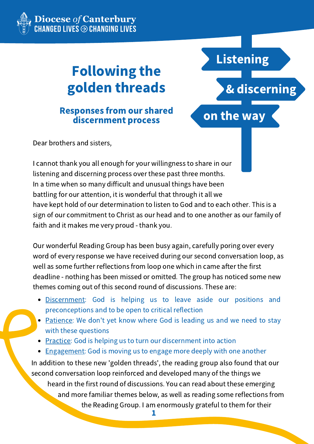

**Diocese** *of* **Canterbury<br>:HANGED LIVES ⊕ CHANGING LIVES** 

# Following the golden threads

## Responses from our shared discernment process

Dear brothers and sisters,

I cannot thank you all enough for your willingness to share in our listening and discerning process over these past three months. In a time when so many difficult and unusual things have been battling for our attention, it is wonderful that through it all we have kept hold of our determination to listen to God and to each other. This is a sign of our commitment to Christ as our head and to one another as our family of faith and it makes me very proud - thank you.

on the way

Listening

& discerning

Our wonderful Reading Group has been busy again, carefully poring over every word of every response we have received during our second conversation loop, as well as some further reflections from loop one which in came after the first deadline - nothing has been missed or omitted. The group has noticed some new themes coming out of this second round of discussions. These are:

- Discernment: God is helping us to leave aside our positions and preconceptions and to be open to critical reflection
- Patience: We don't yet know where God is leading us and we need to stay with these questions
- Practice: God is helping us to turn our discernment into action
- Engagement: God is moving us to engage more deeply with one another

In addition to these new 'golden threads', the reading group also found that our second conversation loop reinforced and developed many of the things we

heard in the first round of discussions. You can read about these emerging and more familiar themes below, as well as reading some reflections from the Reading Group. I am enormously grateful to them for their

1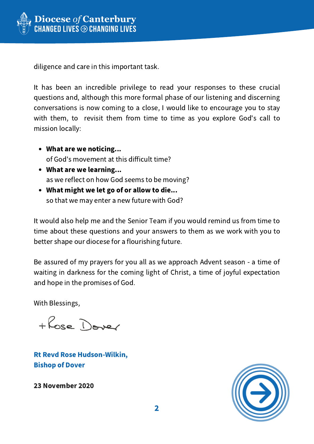

diligence and care in this important task.

It has been an incredible privilege to read your responses to these crucial questions and, although this more formal phase of our listening and discerning conversations is now coming to a close, I would like to encourage you to stay with them, to revisit them from time to time as you explore God's call to mission locally:

- What are we noticing... of God's movement at this difficult time?
- What are we learning... as we reflect on how God seems to be moving?
- What might we let go of or allow to die... so that we may enter a new future with God?

It would also help me and the Senior Team if you would remind us from time to time about these questions and your answers to them as we work with you to better shape our diocese for a flourishing future.

Be assured of my prayers for you all as we approach Advent season - a time of waiting in darkness for the coming light of Christ, a time of joyful expectation and hope in the promises of God.

With Blessings,

+ Rose Dover

Rt Revd Rose Hudson-Wilkin, Bishop of Dover

23 November 2020

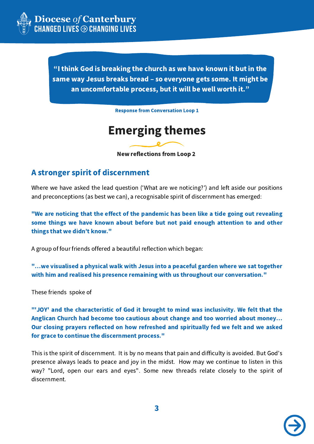

"I think God is breaking the church as we have known it but in the same way Jesus breaks bread – so everyone gets some. It might be an uncomfortable process, but it will be well worth it."

Response from Conversation Loop 1

## Emerging themes

New reflections from Loop 2

### A stronger spirit of discernment

Where we have asked the lead question (ʻWhat are we noticing?') and left aside our positions and preconceptions (as best we can), a recognisable spirit of discernment has emerged:

"We are noticing that the effect of the pandemic has been like a tide going out revealing some things we have known about before but not paid enough attention to and other things that we didn't know."

A group of four friends offered a beautiful reflection which began:

"…we visualised a physical walk with Jesus into a peaceful garden where we sat together with him and realised his presence remaining with us throughout our conversation."

These friends spoke of

"'JOY' and the characteristic of God it brought to mind was inclusivity. We felt that the Anglican Church had become too cautious about change and too worried about money… Our closing prayers reflected on how refreshed and spiritually fed we felt and we asked for grace to continue the discernment process."

This is the spirit of discernment. It is by no means that pain and difficulty is avoided. But God's presence always leads to peace and joy in the midst. How may we continue to listen in this way? "Lord, open our ears and eyes". Some new threads relate closely to the spirit of discernment.

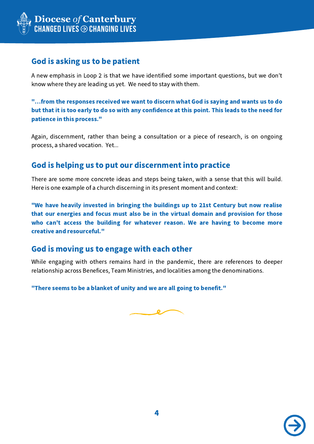

## God is asking us to be patient

A new emphasis in Loop 2 is that we have identified some important questions, but we don't know where they are leading us yet. We need to stay with them.

"…from the responses received we want to discern what God is saying and wants us to do but that it is too early to do so with any confidence at this point. This leads to the need for patience in this process."

Again, discernment, rather than being a consultation or a piece of research, is on ongoing process, a shared vocation. Yet...

## God is helping us to put our discernment into practice

There are some more concrete ideas and steps being taken, with a sense that this will build. Here is one example of a church discerning in its present moment and context:

"We have heavily invested in bringing the buildings up to 21st Century but now realise that our energies and focus must also be in the virtual domain and provision for those who can't access the building for whatever reason. We are having to become more creative and resourceful."

## God is moving us to engage with each other

While engaging with others remains hard in the pandemic, there are references to deeper relationship across Benefices, Team Ministries, and localities among the denominations.

"There seems to be a blanket of unity and we are all going to benefit."



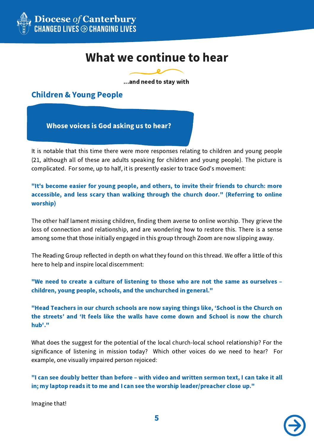

## What we continue to hear

...and need to stay with

Children & Young People

Whose voices is God asking us to hear?

It is notable that this time there were more responses relating to children and young people (21, although all of these are adults speaking for children and young people). The picture is complicated. For some, up to half, it is presently easier to trace God's movement:

"It's become easier for young people, and others, to invite their friends to church: more accessible, and less scary than walking through the church door." (Referring to online worship)

The other half lament missing children, finding them averse to online worship. They grieve the loss of connection and relationship, and are wondering how to restore this. There is a sense among some that those initially engaged in this group through Zoom are now slipping away.

The Reading Group reflected in depth on what they found on this thread. We offer a little of this here to help and inspire local discernment:

"We need to create a culture of listening to those who are not the same as ourselves – children, young people, schools, and the unchurched in general."

"Head Teachers in our church schools are now saying things like, ʻSchool is the Church on the streets' and ʻIt feels like the walls have come down and School is now the church hub'."

What does the suggest for the potential of the local church-local school relationship? For the significance of listening in mission today? Which other voices do we need to hear? For example, one visually impaired person rejoiced:

"I can see doubly better than before – with video and written sermon text, I can take it all in; my laptop reads it to me and I can see the worship leader/preacher close up."

Imagine that!

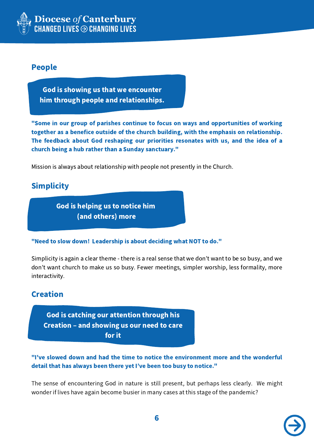

### People

God is showing us that we encounter him through people and relationships.

"Some in our group of parishes continue to focus on ways and opportunities of working together as a benefice outside of the church building, with the emphasis on relationship. The feedback about God reshaping our priorities resonates with us, and the idea of a church being a hub rather than a Sunday sanctuary."

Mission is always about relationship with people not presently in the Church.

## **Simplicity**

God is helping us to notice him (and others) more

"Need to slow down! Leadership is about deciding what NOT to do."

Simplicity is again a clear theme - there is a real sense that we don't want to be so busy, and we don't want church to make us so busy. Fewer meetings, simpler worship, less formality, more interactivity.

## **Creation**

God is catching our attention through his Creation – and showing us our need to care for it

"I've slowed down and had the time to notice the environment more and the wonderful detail that has always been there yet I've been too busy to notice."

The sense of encountering God in nature is still present, but perhaps less clearly. We might wonder if lives have again become busier in many cases at this stage of the pandemic?

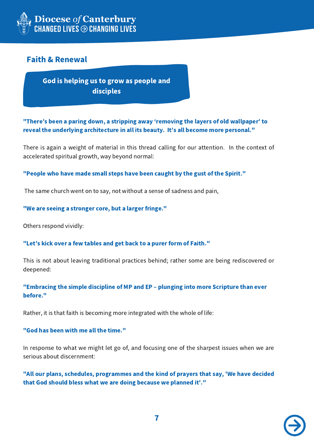

## Faith & Renewal

God is helping us to grow as people and disciples

"There's been a paring down, a stripping away ʻremoving the layers of old wallpaper' to reveal the underlying architecture in all its beauty. It's all become more personal."

There is again a weight of material in this thread calling for our attention. In the context of accelerated spiritual growth, way beyond normal:

"People who have made small steps have been caught by the gust of the Spirit."

The same church went on to say, not without a sense of sadness and pain,

"We are seeing a stronger core, but a larger fringe."

Others respond vividly:

"Let's kick over a few tables and get back to a purer form of Faith."

This is not about leaving traditional practices behind; rather some are being rediscovered or deepened:

#### "Embracing the simple discipline of MP and EP – plunging into more Scripture than ever before."

Rather, it is that faith is becoming more integrated with the whole of life:

#### "God has been with me all the time."

In response to what we might let go of, and focusing one of the sharpest issues when we are serious about discernment:

"All our plans, schedules, programmes and the kind of prayers that say, 'We have decided that God should bless what we are doing because we planned it'."

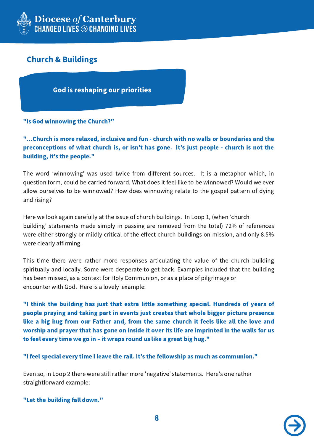

## Church & Buildings

God is reshaping our priorities

#### "Is God winnowing the Church?"

"…Church is more relaxed, inclusive and fun - church with no walls or boundaries and the preconceptions of what church is, or isn't has gone. It's just people - church is not the building, it's the people."

The word ʻwinnowing' was used twice from different sources. It is a metaphor which, in question form, could be carried forward. What does it feel like to be winnowed? Would we ever allow ourselves to be winnowed? How does winnowing relate to the gospel pattern of dying and rising?

Here we look again carefully at the issue of church buildings. In Loop 1, (when ʻchurch building' statements made simply in passing are removed from the total) 72% of references were either strongly or mildly critical of the effect church buildings on mission, and only 8.5% were clearly affirming.

This time there were rather more responses articulating the value of the church building spiritually and locally. Some were desperate to get back. Examples included that the building has been missed, as a context for Holy Communion, or as a place of pilgrimage or encounter with God. Here is a lovely example:

"I think the building has just that extra little something special. Hundreds of years of people praying and taking part in events just creates that whole bigger picture presence like a big hug from our Father and, from the same church it feels like all the love and worship and prayer that has gone on inside it over its life are imprinted in the walls for us to feel every time we go in – it wraps round us like a great big hug."

"I feel special every time I leave the rail. It's the fellowship as much as communion."

Even so, in Loop 2 there were still rather more 'negative' statements. Here's one rather straightforward example:

"Let the building fall down."

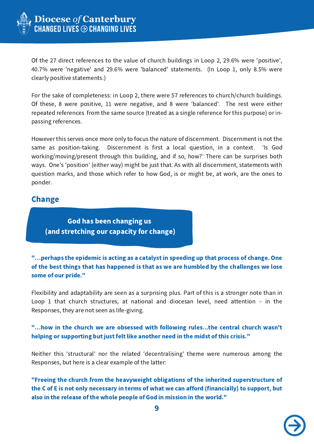

Of the 27 direct references to the value of church buildings in Loop 2, 29.6% were 'positive', 40.7% were 'negative' and 29.6% were 'balanced' statements. (In Loop 1, only 8.5% were clearly positive statements.)

For the sake of completeness: in Loop 2, there were 57 references to church/church buildings. Of these, 8 were positive, 11 were negative, and 8 were ʻbalanced'. The rest were either repeated references from the same source (treated as a single reference for this purpose) or inpassing references.

However this serves once more only to focus the nature of discernment. Discernment is not the same as position-taking. Discernment is first a local question, in a context. ʻIs God working/moving/present through this building, and if so, how?' There can be surprises both ways. One's ʻposition' (either way) might be just that. As with all discernment, statements with question marks, and those which refer to how God, is or might be, at work, are the ones to ponder.

### Change

God has been changing us (and stretching our capacity for change)

#### "…perhaps the epidemic is acting as a catalyst in speeding up that process of change. One of the best things that has happened is that as we are humbled by the challenges we lose some of our pride."

Flexibility and adaptability are seen as a surprising plus. Part of this is a stronger note than in Loop 1 that church structures, at national and diocesan level, need attention – in the Responses, they are not seen as life-giving.

#### "…how in the church we are obsessed with following rules...the central church wasn't helping or supporting but just felt like another need in the midst of this crisis."

Neither this ʻstructural' nor the related ʻdecentralising' theme were numerous among the Responses, but here is a clear example of the latter:

"Freeing the church from the heavyweight obligations of the inherited superstructure of the C of E is not only necessary in terms of what we can afford (financially) to support, but also in the release of the whole people of God in mission in the world."

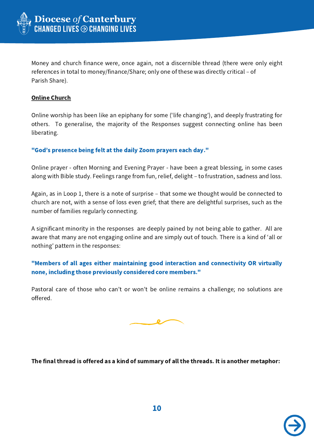

Money and church finance were, once again, not a discernible thread (there were only eight references in total to money/finance/Share; only one of these was directly critical – of Parish Share).

#### **Online Church**

Online worship has been like an epiphany for some (ʻlife changing'), and deeply frustrating for others. To generalise, the majority of the Responses suggest connecting online has been liberating.

#### "God's presence being felt at the daily Zoom prayers each day."

Online prayer - often Morning and Evening Prayer - have been a great blessing, in some cases along with Bible study. Feelings range from fun, relief, delight – to frustration, sadness and loss.

Again, as in Loop 1, there is a note of surprise – that some we thought would be connected to church are not, with a sense of loss even grief; that there are delightful surprises, such as the number of families regularly connecting.

A significant minority in the responses are deeply pained by not being able to gather. All are aware that many are not engaging online and are simply out of touch. There is a kind of ʻall or nothing' pattern in the responses:

#### "Members of all ages either maintaining good interaction and connectivity OR virtually none, including those previously considered core members."

Pastoral care of those who can't or won't be online remains a challenge; no solutions are offered.



#### The final thread is offered as a kind of summary of all the threads. It is another metaphor:

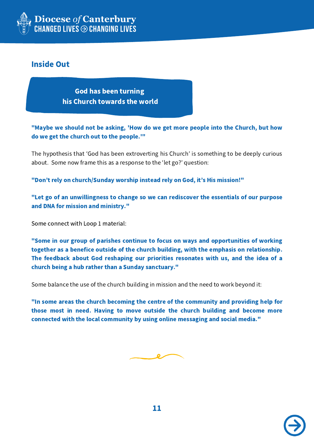

## Inside Out

God has been turning his Church towards the world

"Maybe we should not be asking, 'How do we get more people into the Church, but how do we get the church out to the people.'"

The hypothesis that ʻGod has been extroverting his Church' is something to be deeply curious about. Some now frame this as a response to the ʻlet go?' question:

"Don't rely on church/Sunday worship instead rely on God, it's His mission!"

"Let go of an unwillingness to change so we can rediscover the essentials of our purpose and DNA for mission and ministry."

Some connect with Loop 1 material:

"Some in our group of parishes continue to focus on ways and opportunities of working together as a benefice outside of the church building, with the emphasis on relationship. The feedback about God reshaping our priorities resonates with us, and the idea of a church being a hub rather than a Sunday sanctuary."

Some balance the use of the church building in mission and the need to work beyond it:

"In some areas the church becoming the centre of the community and providing help for those most in need. Having to move outside the church building and become more connected with the local community by using online messaging and social media."



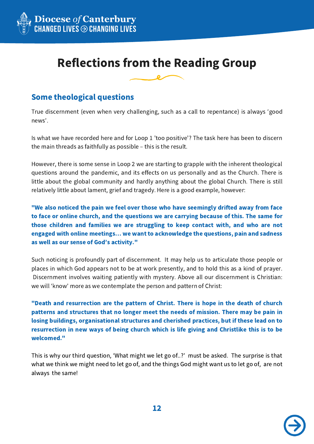

## Reflections from the Reading Group

## Some theological questions

True discernment (even when very challenging, such as a call to repentance) is always ʻgood news'.

Is what we have recorded here and for Loop 1 'too positive'? The task here has been to discern the main threads as faithfully as possible – this is the result.

However, there is some sense in Loop 2 we are starting to grapple with the inherent theological questions around the pandemic, and its effects on us personally and as the Church. There is little about the global community and hardly anything about the global Church. There is still relatively little about lament, grief and tragedy. Here is a good example, however:

"We also noticed the pain we feel over those who have seemingly drifted away from face to face or online church, and the questions we are carrying because of this. The same for those children and families we are struggling to keep contact with, and who are not engaged with online meetings… we want to acknowledge the questions, pain and sadness as well as our sense of God's activity."

Such noticing is profoundly part of discernment. It may help us to articulate those people or places in which God appears not to be at work presently, and to hold this as a kind of prayer. Discernment involves waiting patiently with mystery. Above all our discernment is Christian: we will ʻknow' more as we contemplate the person and pattern of Christ:

"Death and resurrection are the pattern of Christ. There is hope in the death of church patterns and structures that no longer meet the needs of mission. There may be pain in losing buildings, organisational structures and cherished practices, but if these lead on to resurrection in new ways of being church which is life giving and Christlike this is to be welcomed."

This is why our third question, ʻWhat might we let go of..?' must be asked. The surprise is that what we think we might need to let go of, and the things God might want us to let go of, are not always the same!